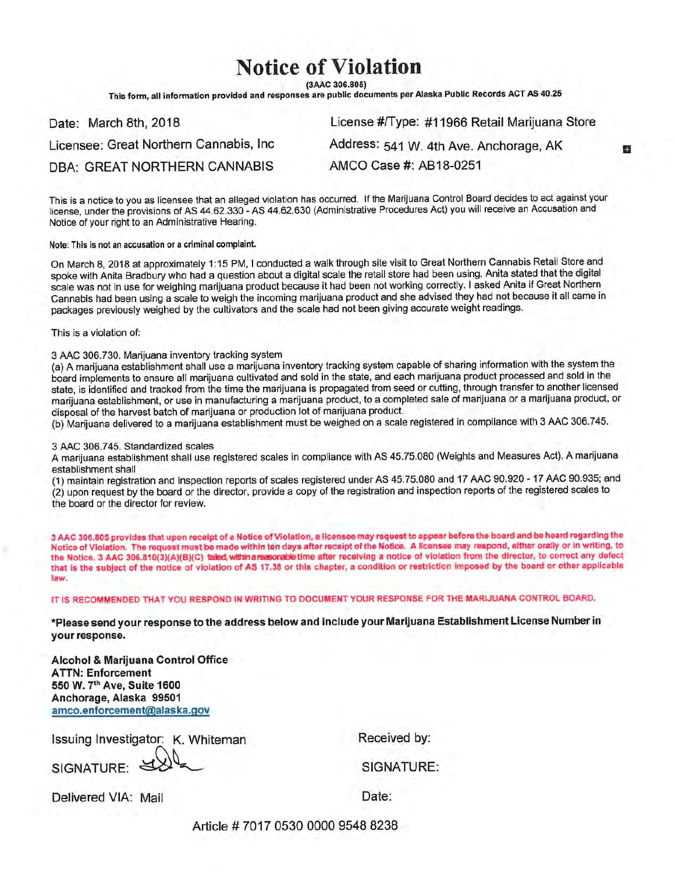## **Notice of Violation**

(3AAC 306.805)

This form, all information provided and responses are public documents per Alaska Public Records ACT AS 40.25

| Date: March 8th, 2018                  | License #/Type: #11966 Retail Marijuana Store |
|----------------------------------------|-----------------------------------------------|
| Licensee: Great Northern Cannabis, Inc | Address: 541 W. 4th Ave. Anchorage, AK        |
| DBA: GREAT NORTHERN CANNABIS           | AMCO Case #: AB18-0251                        |

This is a notice to you as licensee that an alleged violation has occurred. If the Marijuana Control Board decides to act against your license, under the provisions of AS 44.62.330 - AS 44.62.630 (Administrative Procedures Act) you will receive an Accusation and Notice of your right to an Administrative Hearing.

Note: This is not an accusation or a criminal complaint.

On March 8, 2018 at approximately 1:15 PM, I conducted a walk through site visit to Great Northern Cannabis Retail Store and spoke with Anita Bradbury who had a question about a digital scale the retail store had been using. Anita stated that the digital scale was not in use for weighing marijuana product because it had been not working correctly. I asked Anita if Great Northern Cannabis had been using a scale to weigh the incoming marijuana product and she advised they had not because it all came in packages previously weighed by the cultivators and the scale had not been giving accurate weight readings.

This is a violation of:

3 AAC 306.730. Marijuana inventory tracking system

(a) A marijuana establishment shall use a marijuana inventory tracking system capable of sharing information with the system the board implements to ensure all marijuana cultivated and sold in the state, and each marijuana product processed and sold in the state, is identified and tracked from the time the marijuana is propagated from seed or cutting, through transfer to another licensed marijuana establishment, or use in manufacturing a marijuana product, to a completed sale of marijuana or a marijuana product, or disposal of the harvest batch of marijuana or production lot of marijuana product.

(b) Marijuana delivered to a marijuana establishment must be weighed on a scale registered in compliance with 3 AAC 306.745.

## 3 AAC 306,745. Standardized scales

A marijuana establishment shall use registered scales in compliance with AS 45.75.080 (Weights and Measures Act). A marijuana establishment shall

(1) maintain registration and inspection reports of scales registered under AS 45.75.080 and 17 AAC 90.920 - 17 AAC 90.935; and (2) upon request by the board or the director, provide a copy of the registration and inspection reports of the registered scales to the board or the director for review.

3 AAC 306.805 provides that upon receipt of a Notice of Violation, a licensee may request to appear before the board and be heard regarding the Notice of Violation. The request must be made within ten days after receipt of the Notice. A Ilcensee may respond, either orally or in writing, to the Notice. 3 AAC 306.810(3)(A)(B)(C) failed, within a reasonable time after receiving a notice of violation from the director, to correct any defect that is the subject of the notice of violation of AS 17.38 or this chapter, a condition or restriction imposed by the board or other applicable law.

IT IS RECOMMENDED THAT YOU RESPOND IN WRITING TO DOCUMENT YOUR RESPONSE FOR THE MARIJUANA CONTROL BOARD.

\*Please send your response to the address below and include your Marijuana Establishment License Number in your response.

Alcohol & Marijuana Control Office **ATTN: Enforcement** 550 W. 7th Ave, Suite 1600 Anchorage, Alaska 99501 amco.enforcement@alaska.gov

Issuing Investigator: K. Whiteman

SIGNATURE:

Received by:

SIGNATURE:

Delivered VIA: Mail

Date:

Article #7017 0530 0000 9548 8238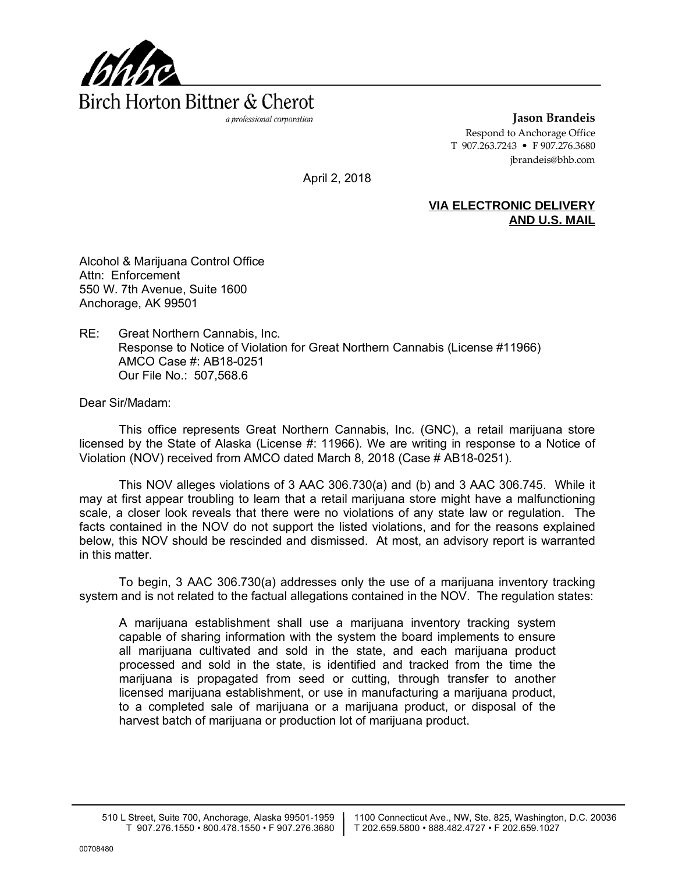

**Jason Brandeis** Respond to Anchorage Office T 907.263.7243 • F 907.276.3680 jbrandeis@bhb.com

April 2, 2018

## **VIA ELECTRONIC DELIVERY AND U.S. MAIL**

Alcohol & Marijuana Control Office Attn: Enforcement 550 W. 7th Avenue, Suite 1600 Anchorage, AK 99501

RE: Great Northern Cannabis, Inc. Response to Notice of Violation for Great Northern Cannabis (License #11966) AMCO Case #: AB18-0251 Our File No.: 507,568.6

Dear Sir/Madam:

This office represents Great Northern Cannabis, Inc. (GNC), a retail marijuana store licensed by the State of Alaska (License #: 11966). We are writing in response to a Notice of Violation (NOV) received from AMCO dated March 8, 2018 (Case # AB18-0251).

This NOV alleges violations of 3 AAC 306.730(a) and (b) and 3 AAC 306.745. While it may at first appear troubling to learn that a retail marijuana store might have a malfunctioning scale, a closer look reveals that there were no violations of any state law or regulation. The facts contained in the NOV do not support the listed violations, and for the reasons explained below, this NOV should be rescinded and dismissed. At most, an advisory report is warranted in this matter.

To begin, 3 AAC 306.730(a) addresses only the use of a marijuana inventory tracking system and is not related to the factual allegations contained in the NOV. The regulation states:

A marijuana establishment shall use a marijuana inventory tracking system capable of sharing information with the system the board implements to ensure all marijuana cultivated and sold in the state, and each marijuana product processed and sold in the state, is identified and tracked from the time the marijuana is propagated from seed or cutting, through transfer to another licensed marijuana establishment, or use in manufacturing a marijuana product, to a completed sale of marijuana or a marijuana product, or disposal of the harvest batch of marijuana or production lot of marijuana product.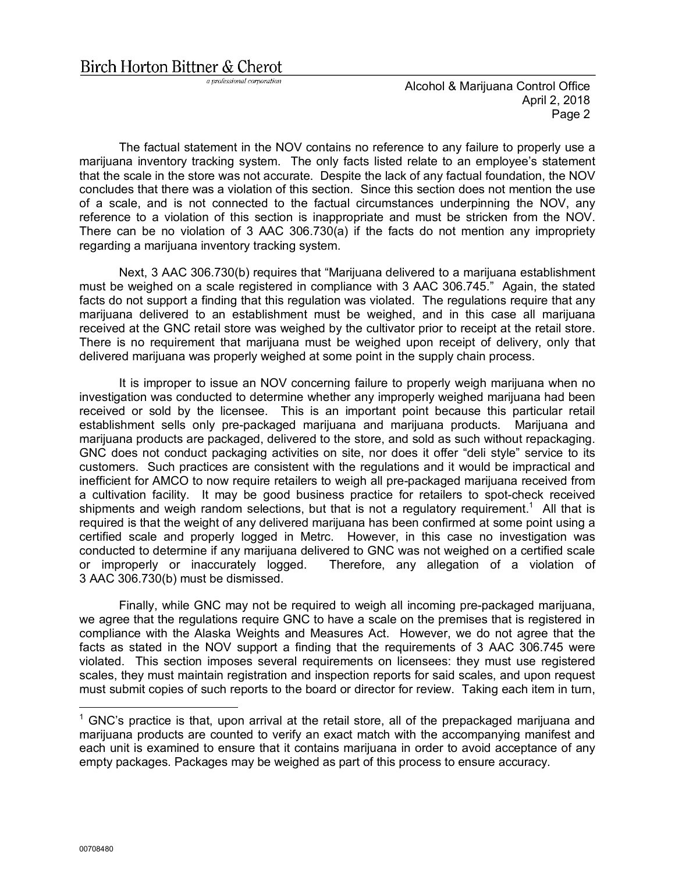Birch Horton Bittner & Cherot

a professional corporation

Alcohol & Marijuana Control Office April 2, 2018 Page 2

The factual statement in the NOV contains no reference to any failure to properly use a marijuana inventory tracking system. The only facts listed relate to an employee's statement that the scale in the store was not accurate. Despite the lack of any factual foundation, the NOV concludes that there was a violation of this section. Since this section does not mention the use of a scale, and is not connected to the factual circumstances underpinning the NOV, any reference to a violation of this section is inappropriate and must be stricken from the NOV. There can be no violation of 3 AAC 306.730(a) if the facts do not mention any impropriety regarding a marijuana inventory tracking system.

Next, 3 AAC 306.730(b) requires that "Marijuana delivered to a marijuana establishment must be weighed on a scale registered in compliance with 3 AAC 306.745." Again, the stated facts do not support a finding that this regulation was violated. The regulations require that any marijuana delivered to an establishment must be weighed, and in this case all marijuana received at the GNC retail store was weighed by the cultivator prior to receipt at the retail store. There is no requirement that marijuana must be weighed upon receipt of delivery, only that delivered marijuana was properly weighed at some point in the supply chain process.

It is improper to issue an NOV concerning failure to properly weigh marijuana when no investigation was conducted to determine whether any improperly weighed marijuana had been received or sold by the licensee. This is an important point because this particular retail establishment sells only pre-packaged marijuana and marijuana products. Marijuana and marijuana products are packaged, delivered to the store, and sold as such without repackaging. GNC does not conduct packaging activities on site, nor does it offer "deli style" service to its customers. Such practices are consistent with the regulations and it would be impractical and inefficient for AMCO to now require retailers to weigh all pre-packaged marijuana received from a cultivation facility. It may be good business practice for retailers to spot-check received shipments and weigh random selections, but that is not a regulatory requirement.<sup>1</sup> All that is required is that the weight of any delivered marijuana has been confirmed at some point using a certified scale and properly logged in Metrc. However, in this case no investigation was conducted to determine if any marijuana delivered to GNC was not weighed on a certified scale or improperly or inaccurately logged. Therefore, any allegation of a violation of 3 AAC 306.730(b) must be dismissed.

Finally, while GNC may not be required to weigh all incoming pre-packaged marijuana, we agree that the regulations require GNC to have a scale on the premises that is registered in compliance with the Alaska Weights and Measures Act. However, we do not agree that the facts as stated in the NOV support a finding that the requirements of 3 AAC 306.745 were violated. This section imposes several requirements on licensees: they must use registered scales, they must maintain registration and inspection reports for said scales, and upon request must submit copies of such reports to the board or director for review. Taking each item in turn,

 $1$  GNC's practice is that, upon arrival at the retail store, all of the prepackaged marijuana and marijuana products are counted to verify an exact match with the accompanying manifest and each unit is examined to ensure that it contains marijuana in order to avoid acceptance of any empty packages. Packages may be weighed as part of this process to ensure accuracy.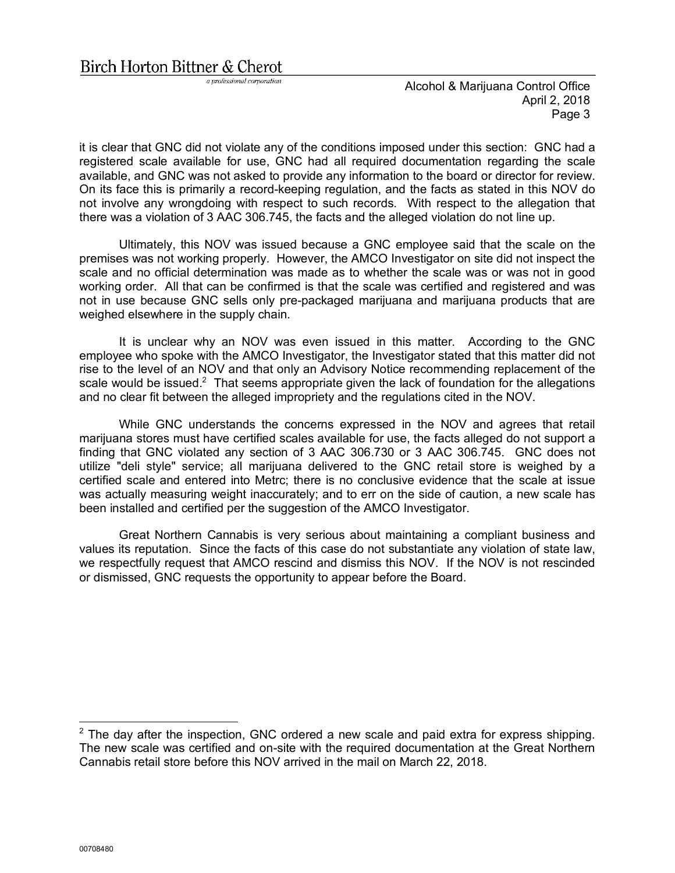a professional corporation

it is clear that GNC did not violate any of the conditions imposed under this section: GNC had a registered scale available for use, GNC had all required documentation regarding the scale available, and GNC was not asked to provide any information to the board or director for review. On its face this is primarily a record-keeping regulation, and the facts as stated in this NOV do not involve any wrongdoing with respect to such records. With respect to the allegation that there was a violation of 3 AAC 306.745, the facts and the alleged violation do not line up.

Ultimately, this NOV was issued because a GNC employee said that the scale on the premises was not working properly. However, the AMCO Investigator on site did not inspect the scale and no official determination was made as to whether the scale was or was not in good working order. All that can be confirmed is that the scale was certified and registered and was not in use because GNC sells only pre-packaged marijuana and marijuana products that are weighed elsewhere in the supply chain.

It is unclear why an NOV was even issued in this matter. According to the GNC employee who spoke with the AMCO Investigator, the Investigator stated that this matter did not rise to the level of an NOV and that only an Advisory Notice recommending replacement of the scale would be issued. $2$  That seems appropriate given the lack of foundation for the allegations and no clear fit between the alleged impropriety and the regulations cited in the NOV.

While GNC understands the concerns expressed in the NOV and agrees that retail marijuana stores must have certified scales available for use, the facts alleged do not support a finding that GNC violated any section of 3 AAC 306.730 or 3 AAC 306.745. GNC does not utilize "deli style" service; all marijuana delivered to the GNC retail store is weighed by a certified scale and entered into Metrc; there is no conclusive evidence that the scale at issue was actually measuring weight inaccurately; and to err on the side of caution, a new scale has been installed and certified per the suggestion of the AMCO Investigator.

Great Northern Cannabis is very serious about maintaining a compliant business and values its reputation. Since the facts of this case do not substantiate any violation of state law, we respectfully request that AMCO rescind and dismiss this NOV. If the NOV is not rescinded or dismissed, GNC requests the opportunity to appear before the Board.

 $2$  The day after the inspection, GNC ordered a new scale and paid extra for express shipping. The new scale was certified and on-site with the required documentation at the Great Northern Cannabis retail store before this NOV arrived in the mail on March 22, 2018.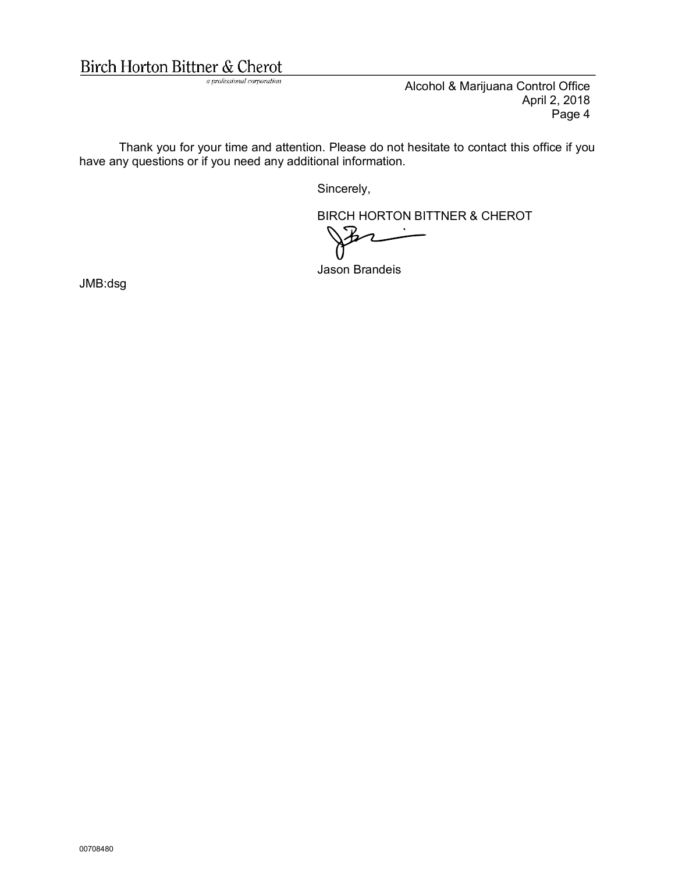## Birch Horton Bittner & Cherot

a professional corporation

Alcohol & Marijuana Control Office April 2, 2018 Page 4

Thank you for your time and attention. Please do not hesitate to contact this office if you have any questions or if you need any additional information.

Sincerely,

BIRCH HORTON BITTNER & CHEROT

Jason Brandeis

JMB:dsg